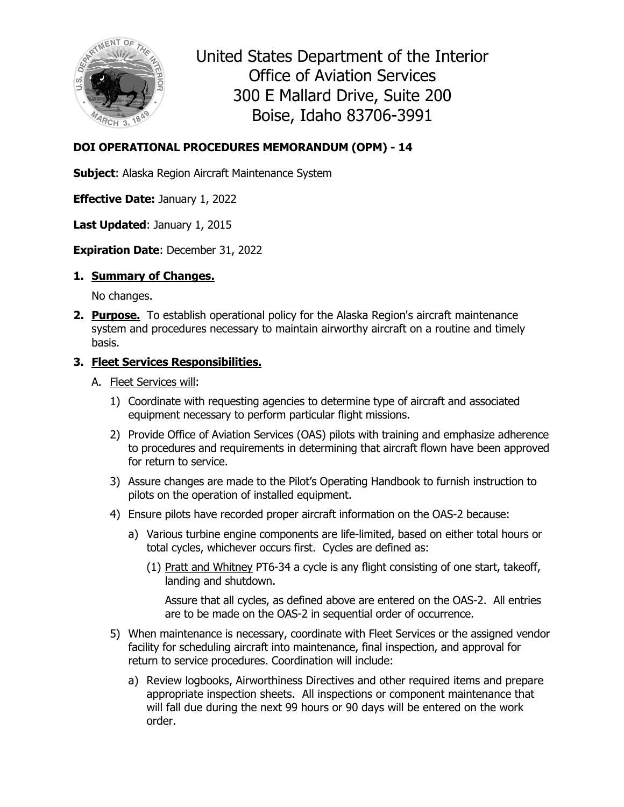

United States Department of the Interior Office of Aviation Services 300 E Mallard Drive, Suite 200 Boise, Idaho 83706-3991

# **DOI OPERATIONAL PROCEDURES MEMORANDUM (OPM) - 14**

**Subject**: Alaska Region Aircraft Maintenance System

**Effective Date:** January 1, 2022

**Last Updated**: January 1, 2015

**Expiration Date**: December 31, 2022

## **1. Summary of Changes.**

No changes.

**2. Purpose.** To establish operational policy for the Alaska Region's aircraft maintenance system and procedures necessary to maintain airworthy aircraft on a routine and timely basis.

## **3. Fleet Services Responsibilities.**

- A. Fleet Services will:
	- 1) Coordinate with requesting agencies to determine type of aircraft and associated equipment necessary to perform particular flight missions.
	- 2) Provide Office of Aviation Services (OAS) pilots with training and emphasize adherence to procedures and requirements in determining that aircraft flown have been approved for return to service.
	- 3) Assure changes are made to the Pilot's Operating Handbook to furnish instruction to pilots on the operation of installed equipment.
	- 4) Ensure pilots have recorded proper aircraft information on the OAS-2 because:
		- a) Various turbine engine components are life-limited, based on either total hours or total cycles, whichever occurs first. Cycles are defined as:
			- (1) Pratt and Whitney PT6-34 a cycle is any flight consisting of one start, takeoff, landing and shutdown.

Assure that all cycles, as defined above are entered on the OAS-2. All entries are to be made on the OAS-2 in sequential order of occurrence.

- 5) When maintenance is necessary, coordinate with Fleet Services or the assigned vendor facility for scheduling aircraft into maintenance, final inspection, and approval for return to service procedures. Coordination will include:
	- a) Review logbooks, Airworthiness Directives and other required items and prepare appropriate inspection sheets. All inspections or component maintenance that will fall due during the next 99 hours or 90 days will be entered on the work order.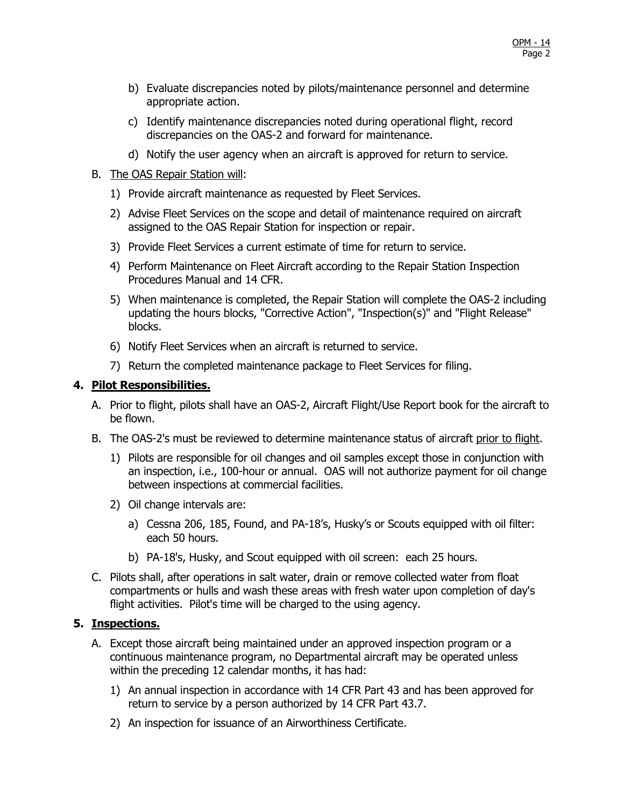- b) Evaluate discrepancies noted by pilots/maintenance personnel and determine appropriate action.
- c) Identify maintenance discrepancies noted during operational flight, record discrepancies on the OAS-2 and forward for maintenance.
- d) Notify the user agency when an aircraft is approved for return to service.
- B. The OAS Repair Station will:
	- 1) Provide aircraft maintenance as requested by Fleet Services.
	- 2) Advise Fleet Services on the scope and detail of maintenance required on aircraft assigned to the OAS Repair Station for inspection or repair.
	- 3) Provide Fleet Services a current estimate of time for return to service.
	- 4) Perform Maintenance on Fleet Aircraft according to the Repair Station Inspection Procedures Manual and 14 CFR.
	- 5) When maintenance is completed, the Repair Station will complete the OAS-2 including updating the hours blocks, "Corrective Action", "Inspection(s)" and "Flight Release" blocks.
	- 6) Notify Fleet Services when an aircraft is returned to service.
	- 7) Return the completed maintenance package to Fleet Services for filing.

#### **4. Pilot Responsibilities.**

- A. Prior to flight, pilots shall have an OAS-2, Aircraft Flight/Use Report book for the aircraft to be flown.
- B. The OAS-2's must be reviewed to determine maintenance status of aircraft prior to flight.
	- 1) Pilots are responsible for oil changes and oil samples except those in conjunction with an inspection, i.e., 100-hour or annual. OAS will not authorize payment for oil change between inspections at commercial facilities.
	- 2) Oil change intervals are:
		- a) Cessna 206, 185, Found, and PA-18's, Husky's or Scouts equipped with oil filter: each 50 hours.
		- b) PA-18's, Husky, and Scout equipped with oil screen: each 25 hours.
- C. Pilots shall, after operations in salt water, drain or remove collected water from float compartments or hulls and wash these areas with fresh water upon completion of day's flight activities. Pilot's time will be charged to the using agency.

#### **5. Inspections.**

- A. Except those aircraft being maintained under an approved inspection program or a continuous maintenance program, no Departmental aircraft may be operated unless within the preceding 12 calendar months, it has had:
	- 1) An annual inspection in accordance with 14 CFR Part 43 and has been approved for return to service by a person authorized by 14 CFR Part 43.7.
	- 2) An inspection for issuance of an Airworthiness Certificate.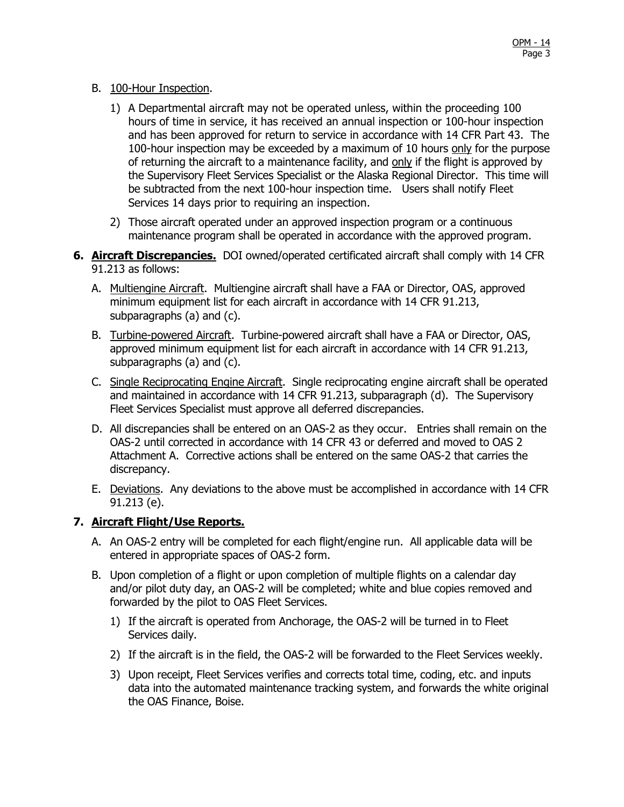- B. 100-Hour Inspection.
	- 1) A Departmental aircraft may not be operated unless, within the proceeding 100 hours of time in service, it has received an annual inspection or 100-hour inspection and has been approved for return to service in accordance with 14 CFR Part 43. The 100-hour inspection may be exceeded by a maximum of 10 hours only for the purpose of returning the aircraft to a maintenance facility, and only if the flight is approved by the Supervisory Fleet Services Specialist or the Alaska Regional Director. This time will be subtracted from the next 100-hour inspection time. Users shall notify Fleet Services 14 days prior to requiring an inspection.
	- 2) Those aircraft operated under an approved inspection program or a continuous maintenance program shall be operated in accordance with the approved program.
- **6. Aircraft Discrepancies.** DOI owned/operated certificated aircraft shall comply with 14 CFR 91.213 as follows:
	- A. Multiengine Aircraft. Multiengine aircraft shall have a FAA or Director, OAS, approved minimum equipment list for each aircraft in accordance with 14 CFR 91.213, subparagraphs (a) and (c).
	- B. Turbine-powered Aircraft. Turbine-powered aircraft shall have a FAA or Director, OAS, approved minimum equipment list for each aircraft in accordance with 14 CFR 91.213, subparagraphs (a) and (c).
	- C. Single Reciprocating Engine Aircraft. Single reciprocating engine aircraft shall be operated and maintained in accordance with 14 CFR 91.213, subparagraph (d). The Supervisory Fleet Services Specialist must approve all deferred discrepancies.
	- D. All discrepancies shall be entered on an OAS-2 as they occur. Entries shall remain on the OAS-2 until corrected in accordance with 14 CFR 43 or deferred and moved to OAS 2 Attachment A. Corrective actions shall be entered on the same OAS-2 that carries the discrepancy.
	- E. Deviations. Any deviations to the above must be accomplished in accordance with 14 CFR 91.213 (e).

#### **7. Aircraft Flight/Use Reports.**

- A. An OAS-2 entry will be completed for each flight/engine run. All applicable data will be entered in appropriate spaces of OAS-2 form.
- B. Upon completion of a flight or upon completion of multiple flights on a calendar day and/or pilot duty day, an OAS-2 will be completed; white and blue copies removed and forwarded by the pilot to OAS Fleet Services.
	- 1) If the aircraft is operated from Anchorage, the OAS-2 will be turned in to Fleet Services daily.
	- 2) If the aircraft is in the field, the OAS-2 will be forwarded to the Fleet Services weekly.
	- 3) Upon receipt, Fleet Services verifies and corrects total time, coding, etc. and inputs data into the automated maintenance tracking system, and forwards the white original the OAS Finance, Boise.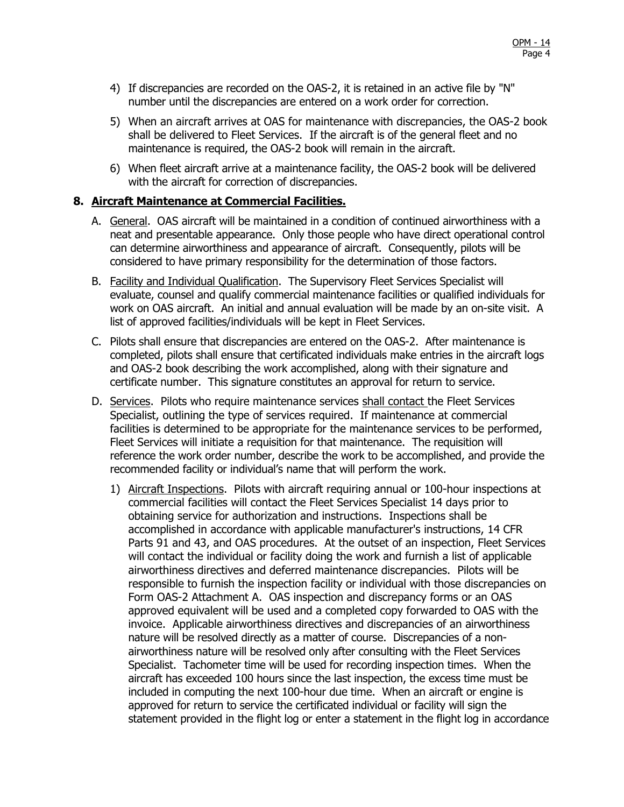- 4) If discrepancies are recorded on the OAS-2, it is retained in an active file by "N" number until the discrepancies are entered on a work order for correction.
- 5) When an aircraft arrives at OAS for maintenance with discrepancies, the OAS-2 book shall be delivered to Fleet Services. If the aircraft is of the general fleet and no maintenance is required, the OAS-2 book will remain in the aircraft.
- 6) When fleet aircraft arrive at a maintenance facility, the OAS-2 book will be delivered with the aircraft for correction of discrepancies.

#### **8. Aircraft Maintenance at Commercial Facilities.**

- A. General. OAS aircraft will be maintained in a condition of continued airworthiness with a neat and presentable appearance. Only those people who have direct operational control can determine airworthiness and appearance of aircraft. Consequently, pilots will be considered to have primary responsibility for the determination of those factors.
- B. Facility and Individual Qualification. The Supervisory Fleet Services Specialist will evaluate, counsel and qualify commercial maintenance facilities or qualified individuals for work on OAS aircraft. An initial and annual evaluation will be made by an on-site visit. A list of approved facilities/individuals will be kept in Fleet Services.
- C. Pilots shall ensure that discrepancies are entered on the OAS-2. After maintenance is completed, pilots shall ensure that certificated individuals make entries in the aircraft logs and OAS-2 book describing the work accomplished, along with their signature and certificate number. This signature constitutes an approval for return to service.
- D. Services. Pilots who require maintenance services shall contact the Fleet Services Specialist, outlining the type of services required. If maintenance at commercial facilities is determined to be appropriate for the maintenance services to be performed, Fleet Services will initiate a requisition for that maintenance. The requisition will reference the work order number, describe the work to be accomplished, and provide the recommended facility or individual's name that will perform the work.
	- 1) Aircraft Inspections. Pilots with aircraft requiring annual or 100-hour inspections at commercial facilities will contact the Fleet Services Specialist 14 days prior to obtaining service for authorization and instructions. Inspections shall be accomplished in accordance with applicable manufacturer's instructions, 14 CFR Parts 91 and 43, and OAS procedures. At the outset of an inspection, Fleet Services will contact the individual or facility doing the work and furnish a list of applicable airworthiness directives and deferred maintenance discrepancies. Pilots will be responsible to furnish the inspection facility or individual with those discrepancies on Form OAS-2 Attachment A. OAS inspection and discrepancy forms or an OAS approved equivalent will be used and a completed copy forwarded to OAS with the invoice. Applicable airworthiness directives and discrepancies of an airworthiness nature will be resolved directly as a matter of course. Discrepancies of a nonairworthiness nature will be resolved only after consulting with the Fleet Services Specialist. Tachometer time will be used for recording inspection times. When the aircraft has exceeded 100 hours since the last inspection, the excess time must be included in computing the next 100-hour due time. When an aircraft or engine is approved for return to service the certificated individual or facility will sign the statement provided in the flight log or enter a statement in the flight log in accordance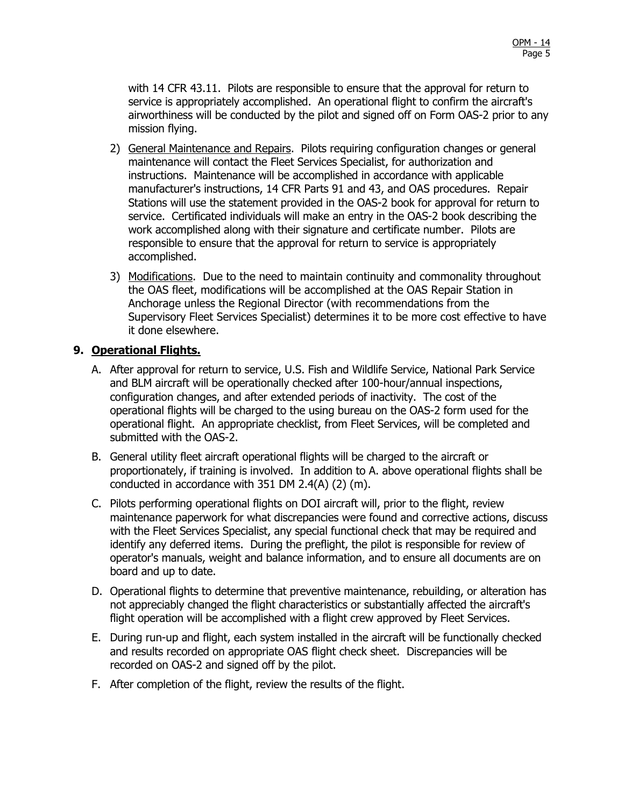with 14 CFR 43.11. Pilots are responsible to ensure that the approval for return to service is appropriately accomplished. An operational flight to confirm the aircraft's airworthiness will be conducted by the pilot and signed off on Form OAS-2 prior to any mission flying.

- 2) General Maintenance and Repairs. Pilots requiring configuration changes or general maintenance will contact the Fleet Services Specialist, for authorization and instructions. Maintenance will be accomplished in accordance with applicable manufacturer's instructions, 14 CFR Parts 91 and 43, and OAS procedures. Repair Stations will use the statement provided in the OAS-2 book for approval for return to service. Certificated individuals will make an entry in the OAS-2 book describing the work accomplished along with their signature and certificate number. Pilots are responsible to ensure that the approval for return to service is appropriately accomplished.
- 3) Modifications. Due to the need to maintain continuity and commonality throughout the OAS fleet, modifications will be accomplished at the OAS Repair Station in Anchorage unless the Regional Director (with recommendations from the Supervisory Fleet Services Specialist) determines it to be more cost effective to have it done elsewhere.

### **9. Operational Flights.**

- A. After approval for return to service, U.S. Fish and Wildlife Service, National Park Service and BLM aircraft will be operationally checked after 100-hour/annual inspections, configuration changes, and after extended periods of inactivity. The cost of the operational flights will be charged to the using bureau on the OAS-2 form used for the operational flight. An appropriate checklist, from Fleet Services, will be completed and submitted with the OAS-2.
- B. General utility fleet aircraft operational flights will be charged to the aircraft or proportionately, if training is involved. In addition to A. above operational flights shall be conducted in accordance with 351 DM 2.4(A) (2) (m).
- C. Pilots performing operational flights on DOI aircraft will, prior to the flight, review maintenance paperwork for what discrepancies were found and corrective actions, discuss with the Fleet Services Specialist, any special functional check that may be required and identify any deferred items. During the preflight, the pilot is responsible for review of operator's manuals, weight and balance information, and to ensure all documents are on board and up to date.
- D. Operational flights to determine that preventive maintenance, rebuilding, or alteration has not appreciably changed the flight characteristics or substantially affected the aircraft's flight operation will be accomplished with a flight crew approved by Fleet Services.
- E. During run-up and flight, each system installed in the aircraft will be functionally checked and results recorded on appropriate OAS flight check sheet. Discrepancies will be recorded on OAS-2 and signed off by the pilot.
- F. After completion of the flight, review the results of the flight.